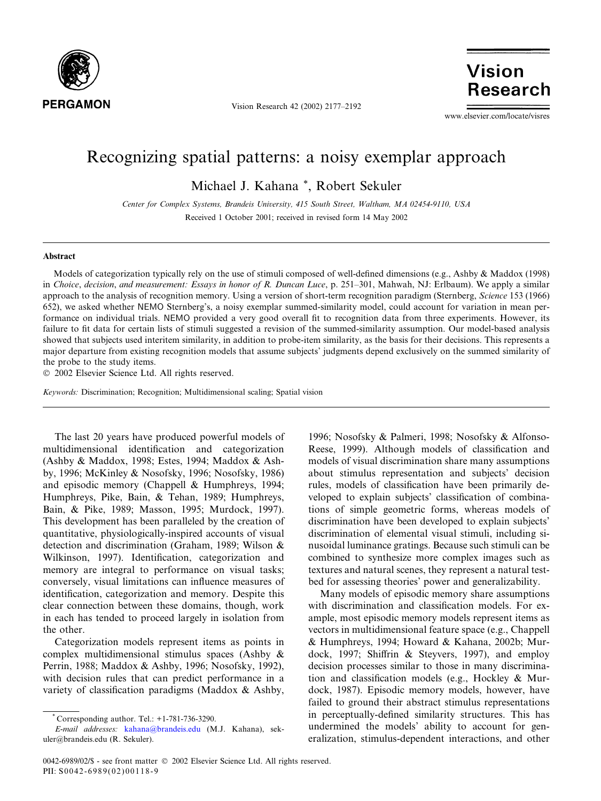

Vision Research 42 (2002) 2177–2192

**Vision Research** 

www.elsevier.com/locate/visres

# Recognizing spatial patterns: a noisy exemplar approach

Michael J. Kahana \*, Robert Sekuler

Center for Complex Systems, Brandeis University, 415 South Street, Waltham, MA 02454-9110, USA Received 1 October 2001; received in revised form 14 May 2002

#### Abstract

Models of categorization typically rely on the use of stimuli composed of well-defined dimensions (e.g., Ashby & Maddox (1998) in Choice, decision, and measurement: Essays in honor of R. Duncan Luce, p. 251-301, Mahwah, NJ: Erlbaum). We apply a similar approach to the analysis of recognition memory. Using a version of short-term recognition paradigm (Sternberg, Science 153 (1966) 652), we asked whether NEMO Sternberg's, a noisy exemplar summed-similarity model, could account for variation in mean performance on individual trials. NEMO provided a very good overall fit to recognition data from three experiments. However, its failure to fit data for certain lists of stimuli suggested a revision of the summed-similarity assumption. Our model-based analysis showed that subjects used interitem similarity, in addition to probe-item similarity, as the basis for their decisions. This represents a major departure from existing recognition models that assume subjects' judgments depend exclusively on the summed similarity of the probe to the study items.

2002 Elsevier Science Ltd. All rights reserved.

Keywords: Discrimination; Recognition; Multidimensional scaling; Spatial vision

The last 20 years have produced powerful models of multidimensional identification and categorization (Ashby & Maddox, 1998; Estes, 1994; Maddox & Ashby, 1996; McKinley & Nosofsky, 1996; Nosofsky, 1986) and episodic memory (Chappell & Humphreys, 1994; Humphreys, Pike, Bain, & Tehan, 1989; Humphreys, Bain, & Pike, 1989; Masson, 1995; Murdock, 1997). This development has been paralleled by the creation of quantitative, physiologically-inspired accounts of visual detection and discrimination (Graham, 1989; Wilson & Wilkinson, 1997). Identification, categorization and memory are integral to performance on visual tasks; conversely, visual limitations can influence measures of identification, categorization and memory. Despite this clear connection between these domains, though, work in each has tended to proceed largely in isolation from the other.

Categorization models represent items as points in complex multidimensional stimulus spaces (Ashby & Perrin, 1988; Maddox & Ashby, 1996; Nosofsky, 1992), with decision rules that can predict performance in a variety of classification paradigms (Maddox & Ashby,

1996; Nosofsky & Palmeri, 1998; Nosofsky & Alfonso-Reese, 1999). Although models of classification and models of visual discrimination share many assumptions about stimulus representation and subjects' decision rules, models of classification have been primarily developed to explain subjects' classification of combinations of simple geometric forms, whereas models of discrimination have been developed to explain subjects' discrimination of elemental visual stimuli, including sinusoidal luminance gratings. Because such stimuli can be combined to synthesize more complex images such as textures and natural scenes, they represent a natural testbed for assessing theories' power and generalizability.

Many models of episodic memory share assumptions with discrimination and classification models. For example, most episodic memory models represent items as vectors in multidimensional feature space (e.g., Chappell & Humphreys, 1994; Howard & Kahana, 2002b; Murdock, 1997; Shiffrin & Steyvers, 1997), and employ decision processes similar to those in many discrimination and classification models (e.g., Hockley & Murdock, 1987). Episodic memory models, however, have failed to ground their abstract stimulus representations in perceptually-defined similarity structures. This has undermined the models' ability to account for generalization, stimulus-dependent interactions, and other

Corresponding author. Tel.:  $+1-781-736-3290$ .

E-mail addresses: [kahana@brandeis.edu](mail to: kahana@brandeis.edu) (M.J. Kahana), sekuler@brandeis.edu (R. Sekuler).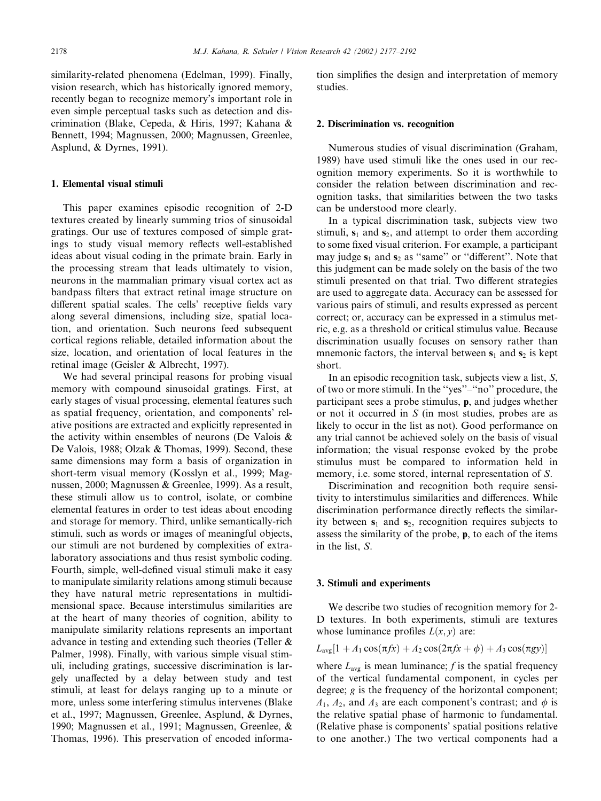similarity-related phenomena (Edelman, 1999). Finally, vision research, which has historically ignored memory, recently began to recognize memory's important role in even simple perceptual tasks such as detection and discrimination (Blake, Cepeda, & Hiris, 1997; Kahana & Bennett, 1994; Magnussen, 2000; Magnussen, Greenlee, Asplund, & Dyrnes, 1991).

#### 1. Elemental visual stimuli

This paper examines episodic recognition of 2-D textures created by linearly summing trios of sinusoidal gratings. Our use of textures composed of simple gratings to study visual memory reflects well-established ideas about visual coding in the primate brain. Early in the processing stream that leads ultimately to vision, neurons in the mammalian primary visual cortex act as bandpass filters that extract retinal image structure on different spatial scales. The cells' receptive fields vary along several dimensions, including size, spatial location, and orientation. Such neurons feed subsequent cortical regions reliable, detailed information about the size, location, and orientation of local features in the retinal image (Geisler & Albrecht, 1997).

We had several principal reasons for probing visual memory with compound sinusoidal gratings. First, at early stages of visual processing, elemental features such as spatial frequency, orientation, and components' relative positions are extracted and explicitly represented in the activity within ensembles of neurons (De Valois & De Valois, 1988; Olzak & Thomas, 1999). Second, these same dimensions may form a basis of organization in short-term visual memory (Kosslyn et al., 1999; Magnussen, 2000; Magnussen & Greenlee, 1999). As a result, these stimuli allow us to control, isolate, or combine elemental features in order to test ideas about encoding and storage for memory. Third, unlike semantically-rich stimuli, such as words or images of meaningful objects, our stimuli are not burdened by complexities of extralaboratory associations and thus resist symbolic coding. Fourth, simple, well-defined visual stimuli make it easy to manipulate similarity relations among stimuli because they have natural metric representations in multidimensional space. Because interstimulus similarities are at the heart of many theories of cognition, ability to manipulate similarity relations represents an important advance in testing and extending such theories (Teller & Palmer, 1998). Finally, with various simple visual stimuli, including gratings, successive discrimination is largely unaffected by a delay between study and test stimuli, at least for delays ranging up to a minute or more, unless some interfering stimulus intervenes (Blake et al., 1997; Magnussen, Greenlee, Asplund, & Dyrnes, 1990; Magnussen et al., 1991; Magnussen, Greenlee, & Thomas, 1996). This preservation of encoded information simplifies the design and interpretation of memory studies.

#### 2. Discrimination vs. recognition

Numerous studies of visual discrimination (Graham, 1989) have used stimuli like the ones used in our recognition memory experiments. So it is worthwhile to consider the relation between discrimination and recognition tasks, that similarities between the two tasks can be understood more clearly.

In a typical discrimination task, subjects view two stimuli,  $s_1$  and  $s_2$ , and attempt to order them according to some fixed visual criterion. For example, a participant may judge  $s_1$  and  $s_2$  as "same" or "different". Note that this judgment can be made solely on the basis of the two stimuli presented on that trial. Two different strategies are used to aggregate data. Accuracy can be assessed for various pairs of stimuli, and results expressed as percent correct; or, accuracy can be expressed in a stimulus metric, e.g. as a threshold or critical stimulus value. Because discrimination usually focuses on sensory rather than mnemonic factors, the interval between  $s_1$  and  $s_2$  is kept short.

In an episodic recognition task, subjects view a list, S, of two or more stimuli. In the ''yes''–''no'' procedure, the participant sees a probe stimulus, p, and judges whether or not it occurred in S (in most studies, probes are as likely to occur in the list as not). Good performance on any trial cannot be achieved solely on the basis of visual information; the visual response evoked by the probe stimulus must be compared to information held in memory, i.e. some stored, internal representation of S.

Discrimination and recognition both require sensitivity to interstimulus similarities and differences. While discrimination performance directly reflects the similarity between  $s_1$  and  $s_2$ , recognition requires subjects to assess the similarity of the probe, p, to each of the items in the list, S.

# 3. Stimuli and experiments

We describe two studies of recognition memory for 2- D textures. In both experiments, stimuli are textures whose luminance profiles  $L(x, y)$  are:

$$
L_{\text{avg}}[1 + A_1 \cos(\pi f x) + A_2 \cos(2\pi f x + \phi) + A_3 \cos(\pi g y)]
$$

where  $L_{avg}$  is mean luminance; f is the spatial frequency of the vertical fundamental component, in cycles per degree; g is the frequency of the horizontal component;  $A_1$ ,  $A_2$ , and  $A_3$  are each component's contrast; and  $\phi$  is the relative spatial phase of harmonic to fundamental. (Relative phase is components' spatial positions relative to one another.) The two vertical components had a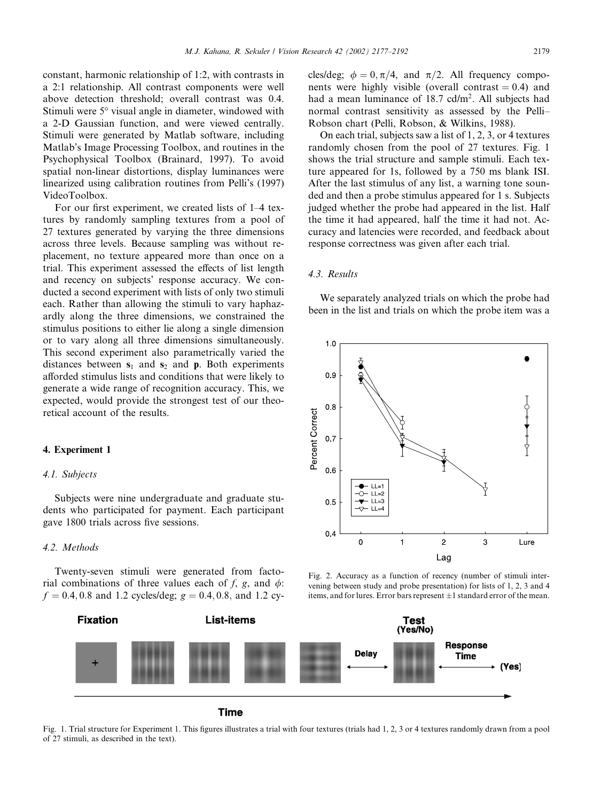constant, harmonic relationship of 1:2, with contrasts in a 2:1 relationship. All contrast components were well above detection threshold; overall contrast was 0.4. Stimuli were  $5^\circ$  visual angle in diameter, windowed with a 2-D Gaussian function, and were viewed centrally. Stimuli were generated by Matlab software, including Matlab's Image Processing Toolbox, and routines in the Psychophysical Toolbox (Brainard, 1997). To avoid spatial non-linear distortions, display luminances were linearized using calibration routines from Pelli's (1997) VideoToolbox.

For our first experiment, we created lists of 1–4 textures by randomly sampling textures from a pool of 27 textures generated by varying the three dimensions across three levels. Because sampling was without replacement, no texture appeared more than once on a trial. This experiment assessed the effects of list length and recency on subjects' response accuracy. We conducted a second experiment with lists of only two stimuli each. Rather than allowing the stimuli to vary haphazardly along the three dimensions, we constrained the stimulus positions to either lie along a single dimension or to vary along all three dimensions simultaneously. This second experiment also parametrically varied the distances between  $s_1$  and  $s_2$  and p. Both experiments afforded stimulus lists and conditions that were likely to generate a wide range of recognition accuracy. This, we expected, would provide the strongest test of our theoretical account of the results.

#### 4. Experiment 1

#### 4.1. Subjects

Subjects were nine undergraduate and graduate students who participated for payment. Each participant gave 1800 trials across five sessions.

### 4.2. Methods

Twenty-seven stimuli were generated from factorial combinations of three values each of f, g, and  $\phi$ :  $f = 0.4, 0.8$  and 1.2 cycles/deg;  $g = 0.4, 0.8$ , and 1.2 cycles/deg;  $\phi = 0, \pi/4$ , and  $\pi/2$ . All frequency components were highly visible (overall contrast  $= 0.4$ ) and had a mean luminance of  $18.7 \text{ cd/m}^2$ . All subjects had normal contrast sensitivity as assessed by the Pelli– Robson chart (Pelli, Robson, & Wilkins, 1988).

On each trial, subjects saw a list of 1, 2, 3, or 4 textures randomly chosen from the pool of 27 textures. Fig. 1 shows the trial structure and sample stimuli. Each texture appeared for 1s, followed by a 750 ms blank ISI. After the last stimulus of any list, a warning tone sounded and then a probe stimulus appeared for 1 s. Subjects judged whether the probe had appeared in the list. Half the time it had appeared, half the time it had not. Accuracy and latencies were recorded, and feedback about response correctness was given after each trial.

# 4.3. Results

We separately analyzed trials on which the probe had been in the list and trials on which the probe item was a



Fig. 2. Accuracy as a function of recency (number of stimuli intervening between study and probe presentation) for lists of 1, 2, 3 and 4 items, and for lures. Error bars represent  $\pm 1$  standard error of the mean.



Time

Fig. 1. Trial structure for Experiment 1. This figures illustrates a trial with four textures (trials had 1, 2, 3 or 4 textures randomly drawn from a pool of 27 stimuli, as described in the text).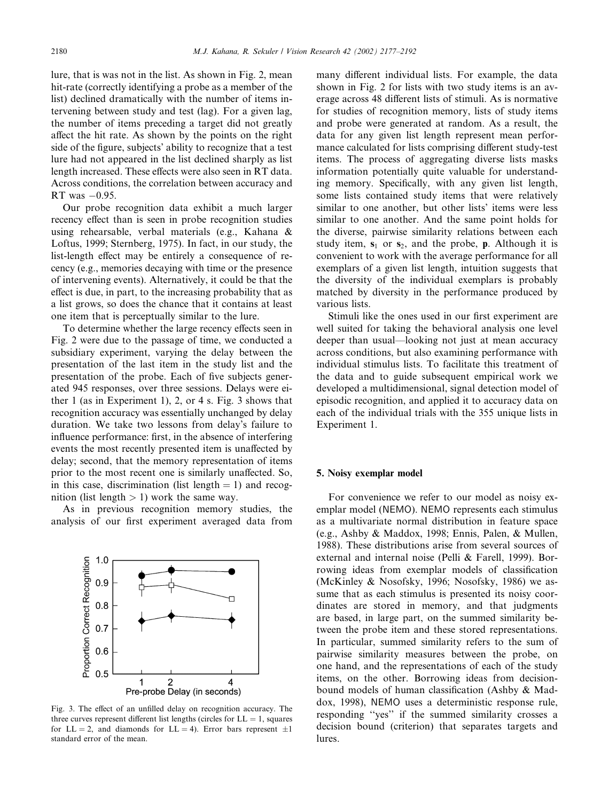lure, that is was not in the list. As shown in Fig. 2, mean hit-rate (correctly identifying a probe as a member of the list) declined dramatically with the number of items intervening between study and test (lag). For a given lag, the number of items preceding a target did not greatly affect the hit rate. As shown by the points on the right side of the figure, subjects' ability to recognize that a test lure had not appeared in the list declined sharply as list length increased. These effects were also seen in RT data. Across conditions, the correlation between accuracy and RT was  $-0.95$ .

Our probe recognition data exhibit a much larger recency effect than is seen in probe recognition studies using rehearsable, verbal materials (e.g., Kahana & Loftus, 1999; Sternberg, 1975). In fact, in our study, the list-length effect may be entirely a consequence of recency (e.g., memories decaying with time or the presence of intervening events). Alternatively, it could be that the effect is due, in part, to the increasing probability that as a list grows, so does the chance that it contains at least one item that is perceptually similar to the lure.

To determine whether the large recency effects seen in Fig. 2 were due to the passage of time, we conducted a subsidiary experiment, varying the delay between the presentation of the last item in the study list and the presentation of the probe. Each of five subjects generated 945 responses, over three sessions. Delays were either 1 (as in Experiment 1), 2, or 4 s. Fig. 3 shows that recognition accuracy was essentially unchanged by delay duration. We take two lessons from delay's failure to influence performance: first, in the absence of interfering events the most recently presented item is unaffected by delay; second, that the memory representation of items prior to the most recent one is similarly unaffected. So, in this case, discrimination (list length  $= 1$ ) and recognition (list length  $> 1$ ) work the same way.

As in previous recognition memory studies, the analysis of our first experiment averaged data from



Fig. 3. The effect of an unfilled delay on recognition accuracy. The three curves represent different list lengths (circles for  $LL = 1$ , squares for  $LL = 2$ , and diamonds for  $LL = 4$ ). Error bars represent  $\pm 1$ standard error of the mean.

many different individual lists. For example, the data shown in Fig. 2 for lists with two study items is an average across 48 different lists of stimuli. As is normative for studies of recognition memory, lists of study items and probe were generated at random. As a result, the data for any given list length represent mean performance calculated for lists comprising different study-test items. The process of aggregating diverse lists masks information potentially quite valuable for understanding memory. Specifically, with any given list length, some lists contained study items that were relatively similar to one another, but other lists' items were less similar to one another. And the same point holds for the diverse, pairwise similarity relations between each study item,  $s_1$  or  $s_2$ , and the probe, **p**. Although it is convenient to work with the average performance for all exemplars of a given list length, intuition suggests that the diversity of the individual exemplars is probably matched by diversity in the performance produced by various lists.

Stimuli like the ones used in our first experiment are well suited for taking the behavioral analysis one level deeper than usual––looking not just at mean accuracy across conditions, but also examining performance with individual stimulus lists. To facilitate this treatment of the data and to guide subsequent empirical work we developed a multidimensional, signal detection model of episodic recognition, and applied it to accuracy data on each of the individual trials with the 355 unique lists in Experiment 1.

## 5. Noisy exemplar model

For convenience we refer to our model as noisy exemplar model (NEMO). NEMO represents each stimulus as a multivariate normal distribution in feature space (e.g., Ashby & Maddox, 1998; Ennis, Palen, & Mullen, 1988). These distributions arise from several sources of external and internal noise (Pelli & Farell, 1999). Borrowing ideas from exemplar models of classification (McKinley & Nosofsky, 1996; Nosofsky, 1986) we assume that as each stimulus is presented its noisy coordinates are stored in memory, and that judgments are based, in large part, on the summed similarity between the probe item and these stored representations. In particular, summed similarity refers to the sum of pairwise similarity measures between the probe, on one hand, and the representations of each of the study items, on the other. Borrowing ideas from decisionbound models of human classification (Ashby & Maddox, 1998), NEMO uses a deterministic response rule, responding ''yes'' if the summed similarity crosses a decision bound (criterion) that separates targets and lures.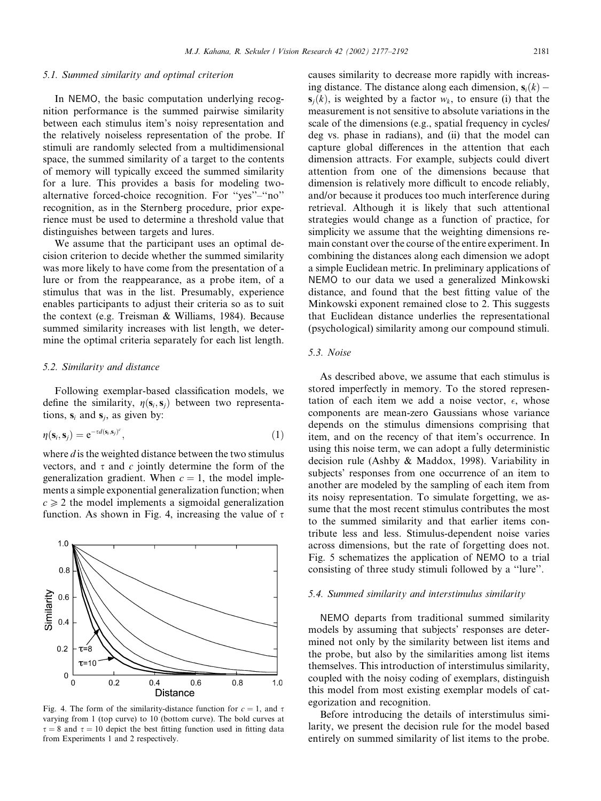#### 5.1. Summed similarity and optimal criterion

In NEMO, the basic computation underlying recognition performance is the summed pairwise similarity between each stimulus item's noisy representation and the relatively noiseless representation of the probe. If stimuli are randomly selected from a multidimensional space, the summed similarity of a target to the contents of memory will typically exceed the summed similarity for a lure. This provides a basis for modeling twoalternative forced-choice recognition. For ''yes''–''no'' recognition, as in the Sternberg procedure, prior experience must be used to determine a threshold value that distinguishes between targets and lures.

We assume that the participant uses an optimal decision criterion to decide whether the summed similarity was more likely to have come from the presentation of a lure or from the reappearance, as a probe item, of a stimulus that was in the list. Presumably, experience enables participants to adjust their criteria so as to suit the context (e.g. Treisman & Williams, 1984). Because summed similarity increases with list length, we determine the optimal criteria separately for each list length.

# 5.2. Similarity and distance

Following exemplar-based classification models, we define the similarity,  $\eta(\mathbf{s}_i, \mathbf{s}_j)$  between two representations,  $s_i$  and  $s_j$ , as given by:

$$
\eta(\mathbf{s}_i, \mathbf{s}_j) = e^{-\tau d(\mathbf{s}_i, \mathbf{s}_j)^c},\tag{1}
$$

where  $d$  is the weighted distance between the two stimulus vectors, and  $\tau$  and c jointly determine the form of the generalization gradient. When  $c = 1$ , the model implements a simple exponential generalization function; when  $c \geq 2$  the model implements a sigmoidal generalization function. As shown in Fig. 4, increasing the value of  $\tau$ 



Fig. 4. The form of the similarity-distance function for  $c = 1$ , and  $\tau$ varying from 1(top curve) to 10 (bottom curve). The bold curves at  $\tau = 8$  and  $\tau = 10$  depict the best fitting function used in fitting data from Experiments 1and 2 respectively.

causes similarity to decrease more rapidly with increasing distance. The distance along each dimension,  $s_i(k)$  –  $s_i(k)$ , is weighted by a factor  $w_k$ , to ensure (i) that the measurement is not sensitive to absolute variations in the scale of the dimensions (e.g., spatial frequency in cycles/ deg vs. phase in radians), and (ii) that the model can capture global differences in the attention that each dimension attracts. For example, subjects could divert attention from one of the dimensions because that dimension is relatively more difficult to encode reliably, and/or because it produces too much interference during retrieval. Although it is likely that such attentional strategies would change as a function of practice, for simplicity we assume that the weighting dimensions remain constant over the course of the entire experiment. In combining the distances along each dimension we adopt a simple Euclidean metric. In preliminary applications of NEMO to our data we used a generalized Minkowski distance, and found that the best fitting value of the Minkowski exponent remained close to 2. This suggests that Euclidean distance underlies the representational (psychological) similarity among our compound stimuli.

### 5.3. Noise

As described above, we assume that each stimulus is stored imperfectly in memory. To the stored representation of each item we add a noise vector,  $\epsilon$ , whose components are mean-zero Gaussians whose variance depends on the stimulus dimensions comprising that item, and on the recency of that item's occurrence. In using this noise term, we can adopt a fully deterministic decision rule (Ashby & Maddox, 1998). Variability in subjects' responses from one occurrence of an item to another are modeled by the sampling of each item from its noisy representation. To simulate forgetting, we assume that the most recent stimulus contributes the most to the summed similarity and that earlier items contribute less and less. Stimulus-dependent noise varies across dimensions, but the rate of forgetting does not. Fig. 5 schematizes the application of NEMO to a trial consisting of three study stimuli followed by a ''lure''.

#### 5.4. Summed similarity and interstimulus similarity

NEMO departs from traditional summed similarity models by assuming that subjects' responses are determined not only by the similarity between list items and the probe, but also by the similarities among list items themselves. This introduction of interstimulus similarity, coupled with the noisy coding of exemplars, distinguish this model from most existing exemplar models of categorization and recognition.

Before introducing the details of interstimulus similarity, we present the decision rule for the model based entirely on summed similarity of list items to the probe.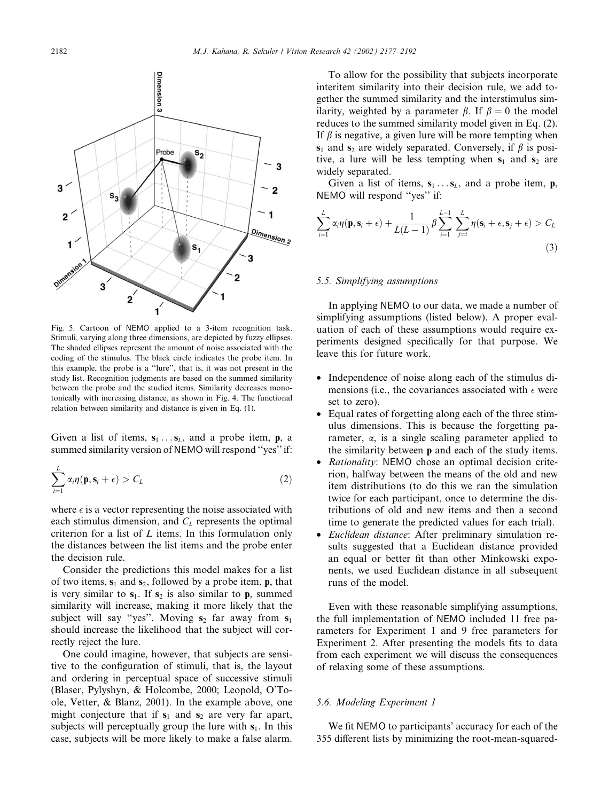

Fig. 5. Cartoon of NEMO applied to a 3-item recognition task. Stimuli, varying along three dimensions, are depicted by fuzzy ellipses. The shaded ellipses represent the amount of noise associated with the coding of the stimulus. The black circle indicates the probe item. In this example, the probe is a ''lure'', that is, it was not present in the study list. Recognition judgments are based on the summed similarity between the probe and the studied items. Similarity decreases monotonically with increasing distance, as shown in Fig. 4. The functional relation between similarity and distance is given in Eq. (1).

Given a list of items,  $s_1 \dots s_L$ , and a probe item, **p**, a summed similarity version of NEMO will respond ''yes'' if:

$$
\sum_{i=1}^{L} \alpha_i \eta(\mathbf{p}, \mathbf{s}_i + \epsilon) > C_L \tag{2}
$$

where  $\epsilon$  is a vector representing the noise associated with each stimulus dimension, and  $C_L$  represents the optimal criterion for a list of  $L$  items. In this formulation only the distances between the list items and the probe enter the decision rule.

Consider the predictions this model makes for a list of two items,  $s_1$  and  $s_2$ , followed by a probe item, **p**, that is very similar to  $s_1$ . If  $s_2$  is also similar to **p**, summed similarity will increase, making it more likely that the subject will say "yes". Moving  $s_2$  far away from  $s_1$ should increase the likelihood that the subject will correctly reject the lure.

One could imagine, however, that subjects are sensitive to the configuration of stimuli, that is, the layout and ordering in perceptual space of successive stimuli (Blaser, Pylyshyn, & Holcombe, 2000; Leopold, O'Toole, Vetter, & Blanz, 2001). In the example above, one might conjecture that if  $s_1$  and  $s_2$  are very far apart, subjects will perceptually group the lure with  $s<sub>1</sub>$ . In this case, subjects will be more likely to make a false alarm.

To allow for the possibility that subjects incorporate interitem similarity into their decision rule, we add together the summed similarity and the interstimulus similarity, weighted by a parameter  $\beta$ . If  $\beta = 0$  the model reduces to the summed similarity model given in Eq. (2). If  $\beta$  is negative, a given lure will be more tempting when  $s_1$  and  $s_2$  are widely separated. Conversely, if  $\beta$  is positive, a lure will be less tempting when  $s_1$  and  $s_2$  are widely separated.

Given a list of items,  $s_1 \dots s_l$ , and a probe item, **p**, NEMO will respond ''yes'' if:

$$
\sum_{i=1}^{L} \alpha_i \eta(\mathbf{p}, \mathbf{s}_i + \epsilon) + \frac{1}{L(L-1)} \beta \sum_{i=1}^{L-1} \sum_{j=i}^{L} \eta(\mathbf{s}_i + \epsilon, \mathbf{s}_j + \epsilon) > C_L
$$
\n(3)

#### 5.5. Simplifying assumptions

In applying NEMO to our data, we made a number of simplifying assumptions (listed below). A proper evaluation of each of these assumptions would require experiments designed specifically for that purpose. We leave this for future work.

- Independence of noise along each of the stimulus dimensions (i.e., the covariances associated with  $\epsilon$  were set to zero).
- Equal rates of forgetting along each of the three stimulus dimensions. This is because the forgetting parameter,  $\alpha$ , is a single scaling parameter applied to the similarity between p and each of the study items.
- Rationality: NEMO chose an optimal decision criterion, halfway between the means of the old and new item distributions (to do this we ran the simulation twice for each participant, once to determine the distributions of old and new items and then a second time to generate the predicted values for each trial).
- Euclidean distance: After preliminary simulation results suggested that a Euclidean distance provided an equal or better fit than other Minkowski exponents, we used Euclidean distance in all subsequent runs of the model.

Even with these reasonable simplifying assumptions, the full implementation of NEMO included 11 free parameters for Experiment 1and 9 free parameters for Experiment 2. After presenting the models fits to data from each experiment we will discuss the consequences of relaxing some of these assumptions.

#### 5.6. Modeling Experiment 1

We fit NEMO to participants' accuracy for each of the 355 different lists by minimizing the root-mean-squared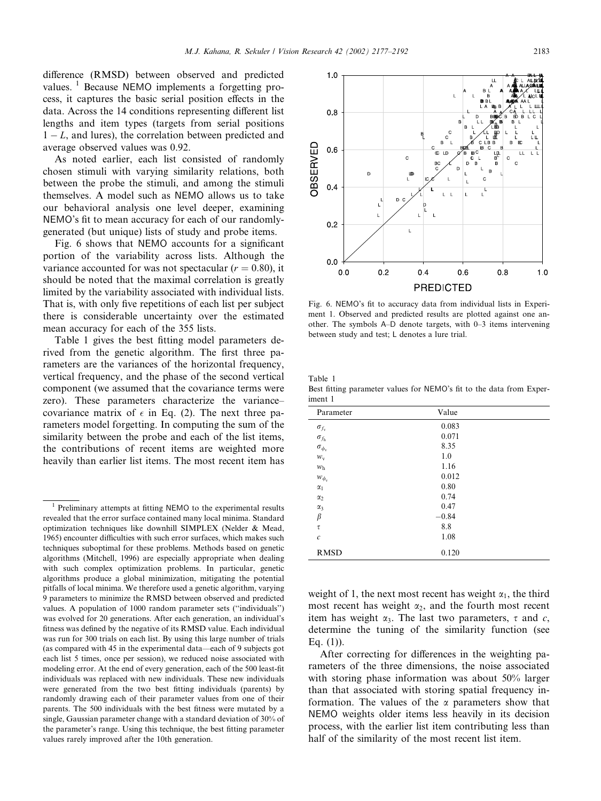difference (RMSD) between observed and predicted values.  $\frac{1}{1}$  Because NEMO implements a forgetting process, it captures the basic serial position effects in the data. Across the 14 conditions representing different list lengths and item types (targets from serial positions  $1 - L$ , and lures), the correlation between predicted and average observed values was 0.92.

As noted earlier, each list consisted of randomly chosen stimuli with varying similarity relations, both between the probe the stimuli, and among the stimuli themselves. A model such as NEMO allows us to take our behavioral analysis one level deeper, examining NEMO's fit to mean accuracy for each of our randomlygenerated (but unique) lists of study and probe items.

Fig. 6 shows that NEMO accounts for a significant portion of the variability across lists. Although the variance accounted for was not spectacular  $(r = 0.80)$ , it should be noted that the maximal correlation is greatly limited by the variability associated with individual lists. That is, with only five repetitions of each list per subject there is considerable uncertainty over the estimated mean accuracy for each of the 355 lists.

Table 1 gives the best fitting model parameters derived from the genetic algorithm. The first three parameters are the variances of the horizontal frequency, vertical frequency, and the phase of the second vertical component (we assumed that the covariance terms were zero). These parameters characterize the variance– covariance matrix of  $\epsilon$  in Eq. (2). The next three parameters model forgetting. In computing the sum of the similarity between the probe and each of the list items, the contributions of recent items are weighted more heavily than earlier list items. The most recent item has



Fig. 6. NEMO's fit to accuracy data from individual lists in Experiment 1. Observed and predicted results are plotted against one another. The symbols A–D denote targets, with 0–3 items intervening between study and test; L denotes a lure trial.

Table 1

Best fitting parameter values for NEMO's fit to the data from Experiment 1

| Parameter               | Value   |  |
|-------------------------|---------|--|
| $\sigma_{f_{\rm v}}$    | 0.083   |  |
| $\sigma_{f_h}$          | 0.071   |  |
| $\sigma_{\phi_{\rm v}}$ | 8.35    |  |
| $W_{V}$                 | 1.0     |  |
| w <sub>h</sub>          | 1.16    |  |
| $w_{\phi_v}$            | 0.012   |  |
| $\alpha_1$              | 0.80    |  |
| $\alpha_{2}$            | 0.74    |  |
| $\alpha_3$              | 0.47    |  |
| $\beta$                 | $-0.84$ |  |
| $\tau$                  | 8.8     |  |
| $\mathcal{C}_{0}$       | 1.08    |  |
| <b>RMSD</b>             | 0.120   |  |

weight of 1, the next most recent has weight  $\alpha_1$ , the third most recent has weight  $\alpha_2$ , and the fourth most recent item has weight  $\alpha_3$ . The last two parameters,  $\tau$  and c, determine the tuning of the similarity function (see Eq.  $(1)$ ).

After correcting for differences in the weighting parameters of the three dimensions, the noise associated with storing phase information was about 50% larger than that associated with storing spatial frequency information. The values of the  $\alpha$  parameters show that NEMO weights older items less heavily in its decision process, with the earlier list item contributing less than half of the similarity of the most recent list item.

<sup>&</sup>lt;sup>1</sup> Preliminary attempts at fitting NEMO to the experimental results revealed that the error surface contained many local minima. Standard optimization techniques like downhill SIMPLEX (Nelder & Mead, 1965) encounter difficulties with such error surfaces, which makes such techniques suboptimal for these problems. Methods based on genetic algorithms (Mitchell, 1996) are especially appropriate when dealing with such complex optimization problems. In particular, genetic algorithms produce a global minimization, mitigating the potential pitfalls of local minima. We therefore used a genetic algorithm, varying 9 parameters to minimize the RMSD between observed and predicted values. A population of 1000 random parameter sets (''individuals'') was evolved for 20 generations. After each generation, an individual's fitness was defined by the negative of its RMSD value. Each individual was run for 300 trials on each list. By using this large number of trials (as compared with 45 in the experimental data––each of 9 subjects got each list 5 times, once per session), we reduced noise associated with modeling error. At the end of every generation, each of the 500 least-fit individuals was replaced with new individuals. These new individuals were generated from the two best fitting individuals (parents) by randomly drawing each of their parameter values from one of their parents. The 500 individuals with the best fitness were mutated by a single, Gaussian parameter change with a standard deviation of 30% of the parameter's range. Using this technique, the best fitting parameter values rarely improved after the 10th generation.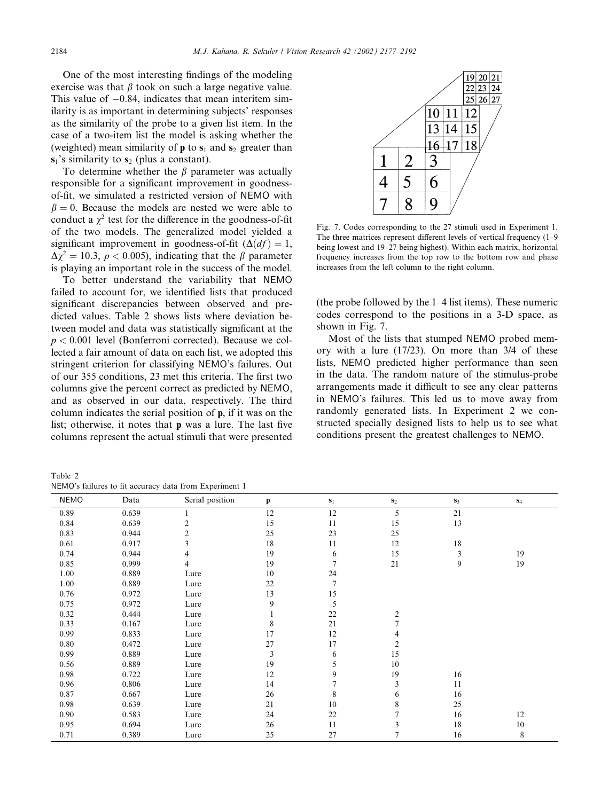One of the most interesting findings of the modeling exercise was that  $\beta$  took on such a large negative value. This value of  $-0.84$ , indicates that mean interitem similarity is as important in determining subjects' responses as the similarity of the probe to a given list item. In the case of a two-item list the model is asking whether the (weighted) mean similarity of **p** to  $s_1$  and  $s_2$  greater than  $s_1$ 's similarity to  $s_2$  (plus a constant).

To determine whether the  $\beta$  parameter was actually responsible for a significant improvement in goodnessof-fit, we simulated a restricted version of NEMO with  $\beta = 0$ . Because the models are nested we were able to conduct a  $\chi^2$  test for the difference in the goodness-of-fit of the two models. The generalized model yielded a significant improvement in goodness-of-fit  $(\Delta(df) = 1$ ,  $\Delta \chi^2 = 10.3$ ,  $p < 0.005$ ), indicating that the  $\beta$  parameter is playing an important role in the success of the model.

To better understand the variability that NEMO failed to account for, we identified lists that produced significant discrepancies between observed and predicted values. Table 2 shows lists where deviation between model and data was statistically significant at the  $p < 0.001$  level (Bonferroni corrected). Because we collected a fair amount of data on each list, we adopted this stringent criterion for classifying NEMO's failures. Out of our 355 conditions, 23 met this criteria. The first two columns give the percent correct as predicted by NEMO, and as observed in our data, respectively. The third column indicates the serial position of p, if it was on the list; otherwise, it notes that p was a lure. The last five columns represent the actual stimuli that were presented

Table 2 NEMO's failures to fit accuracy data from Experiment 1



Fig. 7. Codes corresponding to the 27 stimuli used in Experiment 1. The three matrices represent different levels of vertical frequency (1–9 being lowest and 19–27 being highest). Within each matrix, horizontal frequency increases from the top row to the bottom row and phase increases from the left column to the right column.

(the probe followed by the 1–4 list items). These numeric codes correspond to the positions in a 3-D space, as shown in Fig. 7.

Most of the lists that stumped NEMO probed memory with a lure (17/23). On more than 3/4 of these lists, NEMO predicted higher performance than seen in the data. The random nature of the stimulus-probe arrangements made it difficult to see any clear patterns in NEMO's failures. This led us to move away from randomly generated lists. In Experiment 2 we constructed specially designed lists to help us to see what conditions present the greatest challenges to NEMO.

| <b>NEMO</b> | Data  | Serial position | p  | $S_1$ | $\mathbf{s}_2$ | $S_3$          | $S_4$ |
|-------------|-------|-----------------|----|-------|----------------|----------------|-------|
| 0.89        | 0.639 |                 | 12 | 12    | 5              | 21             |       |
| 0.84        | 0.639 | 2               | 15 | 11    | 15             | 13             |       |
| 0.83        | 0.944 | 2               | 25 | 23    | 25             |                |       |
| 0.61        | 0.917 | 3               | 18 | 11    | 12             | 18             |       |
| 0.74        | 0.944 | 4               | 19 | 6     | 15             | $\mathfrak{Z}$ | 19    |
| 0.85        | 0.999 |                 | 19 | 7     | 21             | 9              | 19    |
| 1.00        | 0.889 | Lure            | 10 | 24    |                |                |       |
| 1.00        | 0.889 | Lure            | 22 | 7     |                |                |       |
| 0.76        | 0.972 | Lure            | 13 | 15    |                |                |       |
| 0.75        | 0.972 | Lure            | 9  | 5     |                |                |       |
| 0.32        | 0.444 | Lure            |    | 22    | 2              |                |       |
| 0.33        | 0.167 | Lure            | 8  | 21    | 7              |                |       |
| 0.99        | 0.833 | Lure            | 17 | 12    | 4              |                |       |
| 0.80        | 0.472 | Lure            | 27 | 17    | $\overline{c}$ |                |       |
| 0.99        | 0.889 | Lure            | 3  | 6     | 15             |                |       |
| 0.56        | 0.889 | Lure            | 19 | 5     | 10             |                |       |
| 0.98        | 0.722 | Lure            | 12 | 9     | 19             | 16             |       |
| 0.96        | 0.806 | Lure            | 14 | 7     | 3              | 11             |       |
| 0.87        | 0.667 | Lure            | 26 | 8     | 6              | 16             |       |
| 0.98        | 0.639 | Lure            | 21 | 10    | 8              | 25             |       |
| 0.90        | 0.583 | Lure            | 24 | 22    | 7              | 16             | 12    |
| 0.95        | 0.694 | Lure            | 26 | 11    | 3              | 18             | 10    |
| 0.71        | 0.389 | Lure            | 25 | 27    | 7              | 16             | 8     |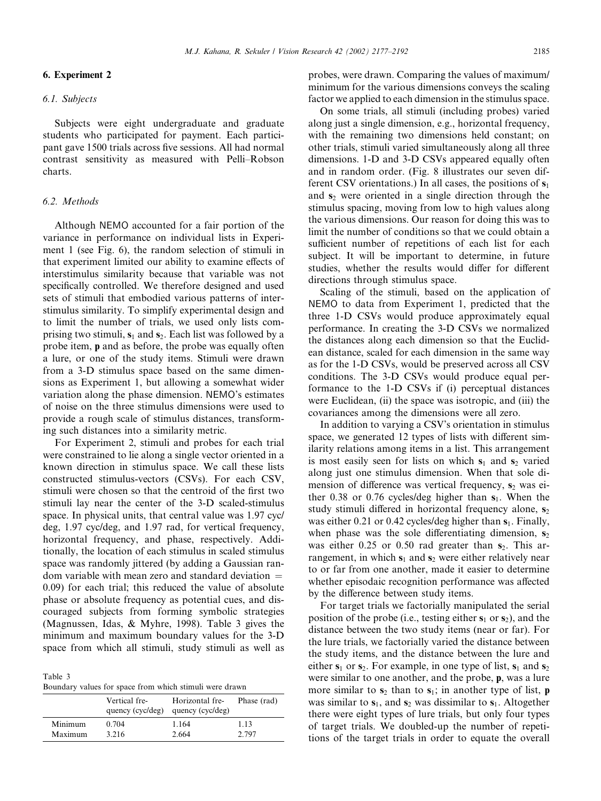## 6. Experiment 2

#### 6.1. Subjects

Subjects were eight undergraduate and graduate students who participated for payment. Each participant gave 1500 trials across five sessions. All had normal contrast sensitivity as measured with Pelli–Robson charts.

#### 6.2. Methods

Although NEMO accounted for a fair portion of the variance in performance on individual lists in Experiment 1(see Fig. 6), the random selection of stimuli in that experiment limited our ability to examine effects of interstimulus similarity because that variable was not specifically controlled. We therefore designed and used sets of stimuli that embodied various patterns of interstimulus similarity. To simplify experimental design and to limit the number of trials, we used only lists comprising two stimuli,  $s_1$  and  $s_2$ . Each list was followed by a probe item, p and as before, the probe was equally often a lure, or one of the study items. Stimuli were drawn from a 3-D stimulus space based on the same dimensions as Experiment 1, but allowing a somewhat wider variation along the phase dimension. NEMO's estimates of noise on the three stimulus dimensions were used to provide a rough scale of stimulus distances, transforming such distances into a similarity metric.

For Experiment 2, stimuli and probes for each trial were constrained to lie along a single vector oriented in a known direction in stimulus space. We call these lists constructed stimulus-vectors (CSVs). For each CSV, stimuli were chosen so that the centroid of the first two stimuli lay near the center of the 3-D scaled-stimulus space. In physical units, that central value was 1.97 cyc/ deg, 1.97 cyc/deg, and 1.97 rad, for vertical frequency, horizontal frequency, and phase, respectively. Additionally, the location of each stimulus in scaled stimulus space was randomly jittered (by adding a Gaussian random variable with mean zero and standard deviation  $=$ 0.09) for each trial; this reduced the value of absolute phase or absolute frequency as potential cues, and discouraged subjects from forming symbolic strategies (Magnussen, Idas, & Myhre, 1998). Table 3 gives the minimum and maximum boundary values for the 3-D space from which all stimuli, study stimuli as well as

| Table 3                                                 |  |  |  |  |
|---------------------------------------------------------|--|--|--|--|
| Boundary values for space from which stimuli were drawn |  |  |  |  |

|         | Vertical fre- | Horizontal fre-<br>quency (cyc/deg) quency (cyc/deg) | Phase (rad) |
|---------|---------------|------------------------------------------------------|-------------|
| Minimum | 0.704         | 1.164                                                | 1.13        |
| Maximum | 3.216         | 2.664                                                | 2.797       |

probes, were drawn. Comparing the values of maximum/ minimum for the various dimensions conveys the scaling factor we applied to each dimension in the stimulus space.

On some trials, all stimuli (including probes) varied along just a single dimension, e.g., horizontal frequency, with the remaining two dimensions held constant; on other trials, stimuli varied simultaneously along all three dimensions. 1-D and 3-D CSVs appeared equally often and in random order. (Fig. 8 illustrates our seven different CSV orientations.) In all cases, the positions of  $s_1$ and  $s_2$  were oriented in a single direction through the stimulus spacing, moving from low to high values along the various dimensions. Our reason for doing this was to limit the number of conditions so that we could obtain a sufficient number of repetitions of each list for each subject. It will be important to determine, in future studies, whether the results would differ for different directions through stimulus space.

Scaling of the stimuli, based on the application of NEMO to data from Experiment 1, predicted that the three 1-D CSVs would produce approximately equal performance. In creating the 3-D CSVs we normalized the distances along each dimension so that the Euclidean distance, scaled for each dimension in the same way as for the 1-D CSVs, would be preserved across all CSV conditions. The 3-D CSVs would produce equal performance to the 1-D CSVs if (i) perceptual distances were Euclidean, (ii) the space was isotropic, and (iii) the covariances among the dimensions were all zero.

In addition to varying a CSV's orientation in stimulus space, we generated 12 types of lists with different similarity relations among items in a list. This arrangement is most easily seen for lists on which  $s_1$  and  $s_2$  varied along just one stimulus dimension. When that sole dimension of difference was vertical frequency,  $s_2$  was either 0.38 or 0.76 cycles/deg higher than  $s<sub>1</sub>$ . When the study stimuli differed in horizontal frequency alone,  $s_2$ was either 0.21 or 0.42 cycles/deg higher than  $s_1$ . Finally, when phase was the sole differentiating dimension,  $s_2$ was either  $0.25$  or  $0.50$  rad greater than  $s<sub>2</sub>$ . This arrangement, in which  $s_1$  and  $s_2$  were either relatively near to or far from one another, made it easier to determine whether episodaic recognition performance was affected by the difference between study items.

For target trials we factorially manipulated the serial position of the probe (i.e., testing either  $s_1$  or  $s_2$ ), and the distance between the two study items (near or far). For the lure trials, we factorially varied the distance between the study items, and the distance between the lure and either  $s_1$  or  $s_2$ . For example, in one type of list,  $s_1$  and  $s_2$ were similar to one another, and the probe, p, was a lure more similar to  $s_2$  than to  $s_1$ ; in another type of list, **p** was similar to  $s_1$ , and  $s_2$  was dissimilar to  $s_1$ . Altogether there were eight types of lure trials, but only four types of target trials. We doubled-up the number of repetitions of the target trials in order to equate the overall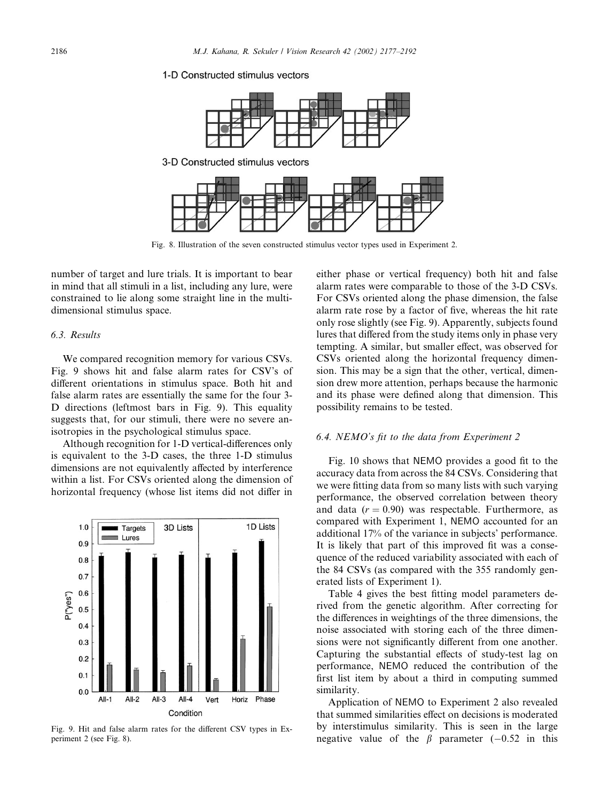## 1-D Constructed stimulus vectors



Fig. 8. Illustration of the seven constructed stimulus vector types used in Experiment 2.

number of target and lure trials. It is important to bear in mind that all stimuli in a list, including any lure, were constrained to lie along some straight line in the multidimensional stimulus space.

# 6.3. Results

We compared recognition memory for various CSVs. Fig. 9 shows hit and false alarm rates for CSV's of different orientations in stimulus space. Both hit and false alarm rates are essentially the same for the four 3- D directions (leftmost bars in Fig. 9). This equality suggests that, for our stimuli, there were no severe anisotropies in the psychological stimulus space.

Although recognition for 1-D vertical-differences only is equivalent to the 3-D cases, the three 1-D stimulus dimensions are not equivalently affected by interference within a list. For CSVs oriented along the dimension of horizontal frequency (whose list items did not differ in



Fig. 9. Hit and false alarm rates for the different CSV types in Experiment 2 (see Fig. 8).

either phase or vertical frequency) both hit and false alarm rates were comparable to those of the 3-D CSVs. For CSVs oriented along the phase dimension, the false alarm rate rose by a factor of five, whereas the hit rate only rose slightly (see Fig. 9). Apparently, subjects found lures that differed from the study items only in phase very tempting. A similar, but smaller effect, was observed for CSVs oriented along the horizontal frequency dimension. This may be a sign that the other, vertical, dimension drew more attention, perhaps because the harmonic and its phase were defined along that dimension. This possibility remains to be tested.

#### 6.4. NEMO's fit to the data from Experiment 2

Fig. 10 shows that NEMO provides a good fit to the accuracy data from across the 84 CSVs. Considering that we were fitting data from so many lists with such varying performance, the observed correlation between theory and data  $(r = 0.90)$  was respectable. Furthermore, as compared with Experiment 1, NEMO accounted for an additional 17% of the variance in subjects' performance. It is likely that part of this improved fit was a consequence of the reduced variability associated with each of the 84 CSVs (as compared with the 355 randomly generated lists of Experiment 1).

Table 4 gives the best fitting model parameters derived from the genetic algorithm. After correcting for the differences in weightings of the three dimensions, the noise associated with storing each of the three dimensions were not significantly different from one another. Capturing the substantial effects of study-test lag on performance, NEMO reduced the contribution of the first list item by about a third in computing summed similarity.

Application of NEMO to Experiment 2 also revealed that summed similarities effect on decisions is moderated by interstimulus similarity. This is seen in the large negative value of the  $\beta$  parameter (-0.52 in this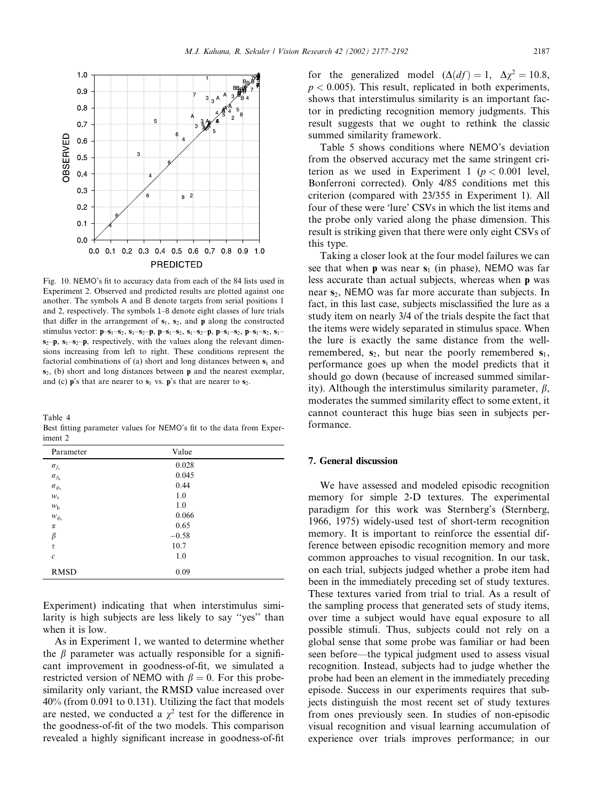

Fig. 10. NEMO's fit to accuracy data from each of the 84 lists used in Experiment 2. Observed and predicted results are plotted against one another. The symbols A and B denote targets from serial positions 1 and 2, respectively. The symbols 1–8 denote eight classes of lure trials that differ in the arrangement of  $s_1$ ,  $s_2$ , and **p** along the constructed stimulus vector:  $\mathbf{p}-\mathbf{s}_1-\mathbf{s}_2$ ,  $\mathbf{s}_1-\mathbf{s}_2-\mathbf{p}$ ,  $\mathbf{p}-\mathbf{s}_1-\mathbf{s}_2$ ,  $\mathbf{s}_1-\mathbf{s}_2$ ,  $\mathbf{s}_1-\mathbf{s}_2$ ,  $\mathbf{s}_1-\mathbf{s}_2$ ,  $\mathbf{s}_1-\mathbf{s}_2$  $s_2-p$ ,  $s_1-s_2-p$ , respectively, with the values along the relevant dimensions increasing from left to right. These conditions represent the factorial combinations of (a) short and long distances between  $s_1$  and  $s<sub>2</sub>$ , (b) short and long distances between **p** and the nearest exemplar, and (c)  $\mathbf{p}$ 's that are nearer to  $\mathbf{s}_1$  vs.  $\mathbf{p}$ 's that are nearer to  $\mathbf{s}_2$ .

Table 4 Best fitting parameter values for NEMO's fit to the data from Experiment 2

| Parameter               | Value   |  |
|-------------------------|---------|--|
| $\sigma_{f_v}$          | 0.028   |  |
| $\sigma_{f_\text{h}}$   | 0.045   |  |
| $\sigma_{\phi_{\rm v}}$ | 0.44    |  |
| $W_{V}$                 | 1.0     |  |
| W <sub>h</sub>          | 1.0     |  |
| $w_{\phi_{v}}$          | 0.066   |  |
| $\alpha$                | 0.65    |  |
| β                       | $-0.58$ |  |
| $\tau$                  | 10.7    |  |
| $\mathcal{C}_{0}$       | 1.0     |  |
| <b>RMSD</b>             | 0.09    |  |

Experiment) indicating that when interstimulus similarity is high subjects are less likely to say ''yes'' than when it is low.

As in Experiment 1, we wanted to determine whether the  $\beta$  parameter was actually responsible for a significant improvement in goodness-of-fit, we simulated a restricted version of NEMO with  $\beta = 0$ . For this probesimilarity only variant, the RMSD value increased over 40% (from 0.091 to 0.131). Utilizing the fact that models are nested, we conducted a  $\chi^2$  test for the difference in the goodness-of-fit of the two models. This comparison revealed a highly significant increase in goodness-of-fit

for the generalized model  $(\Delta(df) = 1, \Delta\chi^2 = 10.8,$  $p < 0.005$ ). This result, replicated in both experiments, shows that interstimulus similarity is an important factor in predicting recognition memory judgments. This result suggests that we ought to rethink the classic summed similarity framework.

Table 5 shows conditions where NEMO's deviation from the observed accuracy met the same stringent criterion as we used in Experiment 1 ( $p < 0.001$  level, Bonferroni corrected). Only 4/85 conditions met this criterion (compared with 23/355 in Experiment 1). All four of these were 'lure' CSVs in which the list items and the probe only varied along the phase dimension. This result is striking given that there were only eight CSVs of this type.

Taking a closer look at the four model failures we can see that when **p** was near  $s_1$  (in phase), NEMO was far less accurate than actual subjects, whereas when p was near  $s<sub>2</sub>$ , NEMO was far more accurate than subjects. In fact, in this last case, subjects misclassified the lure as a study item on nearly 3/4 of the trials despite the fact that the items were widely separated in stimulus space. When the lure is exactly the same distance from the wellremembered,  $s_2$ , but near the poorly remembered  $s_1$ , performance goes up when the model predicts that it should go down (because of increased summed similarity). Although the interstimulus similarity parameter,  $\beta$ , moderates the summed similarity effect to some extent, it cannot counteract this huge bias seen in subjects performance.

## 7. General discussion

We have assessed and modeled episodic recognition memory for simple 2-D textures. The experimental paradigm for this work was Sternberg's (Sternberg, 1966, 1975) widely-used test of short-term recognition memory. It is important to reinforce the essential difference between episodic recognition memory and more common approaches to visual recognition. In our task, on each trial, subjects judged whether a probe item had been in the immediately preceding set of study textures. These textures varied from trial to trial. As a result of the sampling process that generated sets of study items, over time a subject would have equal exposure to all possible stimuli. Thus, subjects could not rely on a global sense that some probe was familiar or had been seen before––the typical judgment used to assess visual recognition. Instead, subjects had to judge whether the probe had been an element in the immediately preceding episode. Success in our experiments requires that subjects distinguish the most recent set of study textures from ones previously seen. In studies of non-episodic visual recognition and visual learning accumulation of experience over trials improves performance; in our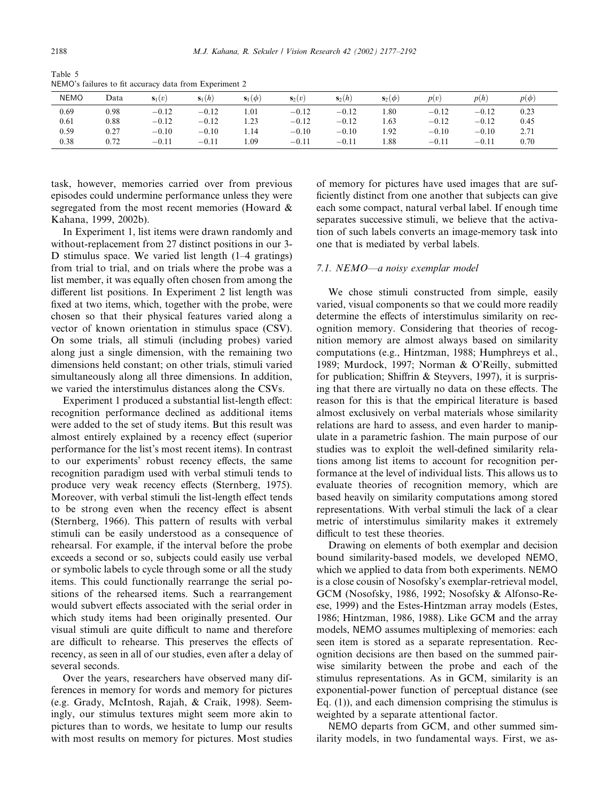| $\cdots$ $\cdots$ $\cdots$ $\cdots$ $\cdots$ $\cdots$ $\cdots$ $\cdots$ $\cdots$ $\cdots$ $\cdots$ $\cdots$ $\cdots$ $\cdots$ $\cdots$ $\cdots$ $\cdots$ $\cdots$ |      |                   |                     |                      |                     |                     |                        |         |         |           |  |
|-------------------------------------------------------------------------------------------------------------------------------------------------------------------|------|-------------------|---------------------|----------------------|---------------------|---------------------|------------------------|---------|---------|-----------|--|
| <b>NEMO</b>                                                                                                                                                       | Data | $\mathbf{s}_1(v)$ | $\mathbf{s}_{1}(h)$ | $\mathbf{s}_1(\phi)$ | $\mathbf{s}_{2}(v)$ | $\mathbf{s}_{2}(h)$ | $\mathbf{s}_{2}(\phi)$ | p(v)    | p(h)    | $p(\phi)$ |  |
| 0.69                                                                                                                                                              | 0.98 | $-0.12$           | $-0.12$             | l .01                | $-0.12$             | $-0.12$             | 1.80                   | $-0.12$ | $-0.12$ | 0.23      |  |
| 0.61                                                                                                                                                              | 0.88 | $-0.12$           | $-0.12$             | 1.23                 | $-0.12$             | $-0.12$             | 1.63                   | $-0.12$ | $-0.12$ | 0.45      |  |
| 0.59                                                                                                                                                              | 0.27 | $-0.10$           | $-0.10$             | .14                  | $-0.10$             | $-0.10$             | 1.92                   | $-0.10$ | $-0.10$ | 2.71      |  |
| 0.38                                                                                                                                                              | 0.72 | $-0.11$           | $-0.11$             | . 09                 | $-0.11$             | $-0.11$             | 1.88                   | $-0.11$ | $-0.11$ | 0.70      |  |

Table 5 NEMO's failures to fit accuracy data from Experiment 2

task, however, memories carried over from previous episodes could undermine performance unless they were segregated from the most recent memories (Howard & Kahana, 1999, 2002b).

In Experiment 1, list items were drawn randomly and without-replacement from 27 distinct positions in our 3- D stimulus space. We varied list length (1–4 gratings) from trial to trial, and on trials where the probe was a list member, it was equally often chosen from among the different list positions. In Experiment 2 list length was fixed at two items, which, together with the probe, were chosen so that their physical features varied along a vector of known orientation in stimulus space (CSV). On some trials, all stimuli (including probes) varied along just a single dimension, with the remaining two dimensions held constant; on other trials, stimuli varied simultaneously along all three dimensions. In addition, we varied the interstimulus distances along the CSVs.

Experiment 1 produced a substantial list-length effect: recognition performance declined as additional items were added to the set of study items. But this result was almost entirely explained by a recency effect (superior performance for the list's most recent items). In contrast to our experiments' robust recency effects, the same recognition paradigm used with verbal stimuli tends to produce very weak recency effects (Sternberg, 1975). Moreover, with verbal stimuli the list-length effect tends to be strong even when the recency effect is absent (Sternberg, 1966). This pattern of results with verbal stimuli can be easily understood as a consequence of rehearsal. For example, if the interval before the probe exceeds a second or so, subjects could easily use verbal or symbolic labels to cycle through some or all the study items. This could functionally rearrange the serial positions of the rehearsed items. Such a rearrangement would subvert effects associated with the serial order in which study items had been originally presented. Our visual stimuli are quite difficult to name and therefore are difficult to rehearse. This preserves the effects of recency, as seen in all of our studies, even after a delay of several seconds.

Over the years, researchers have observed many differences in memory for words and memory for pictures (e.g. Grady, McIntosh, Rajah, & Craik, 1998). Seemingly, our stimulus textures might seem more akin to pictures than to words, we hesitate to lump our results with most results on memory for pictures. Most studies of memory for pictures have used images that are sufficiently distinct from one another that subjects can give each some compact, natural verbal label. If enough time separates successive stimuli, we believe that the activation of such labels converts an image-memory task into one that is mediated by verbal labels.

#### 7.1. NEMO––a noisy exemplar model

We chose stimuli constructed from simple, easily varied, visual components so that we could more readily determine the effects of interstimulus similarity on recognition memory. Considering that theories of recognition memory are almost always based on similarity computations (e.g., Hintzman, 1988; Humphreys et al., 1989; Murdock, 1997; Norman & O'Reilly, submitted for publication; Shiffrin & Steyvers, 1997), it is surprising that there are virtually no data on these effects. The reason for this is that the empirical literature is based almost exclusively on verbal materials whose similarity relations are hard to assess, and even harder to manipulate in a parametric fashion. The main purpose of our studies was to exploit the well-defined similarity relations among list items to account for recognition performance at the level of individual lists. This allows us to evaluate theories of recognition memory, which are based heavily on similarity computations among stored representations. With verbal stimuli the lack of a clear metric of interstimulus similarity makes it extremely difficult to test these theories.

Drawing on elements of both exemplar and decision bound similarity-based models, we developed NEMO, which we applied to data from both experiments. NEMO is a close cousin of Nosofsky's exemplar-retrieval model, GCM (Nosofsky, 1986, 1992; Nosofsky & Alfonso-Reese, 1999) and the Estes-Hintzman array models (Estes, 1986; Hintzman, 1986, 1988). Like GCM and the array models, NEMO assumes multiplexing of memories: each seen item is stored as a separate representation. Recognition decisions are then based on the summed pairwise similarity between the probe and each of the stimulus representations. As in GCM, similarity is an exponential-power function of perceptual distance (see Eq. (1)), and each dimension comprising the stimulus is weighted by a separate attentional factor.

NEMO departs from GCM, and other summed similarity models, in two fundamental ways. First, we as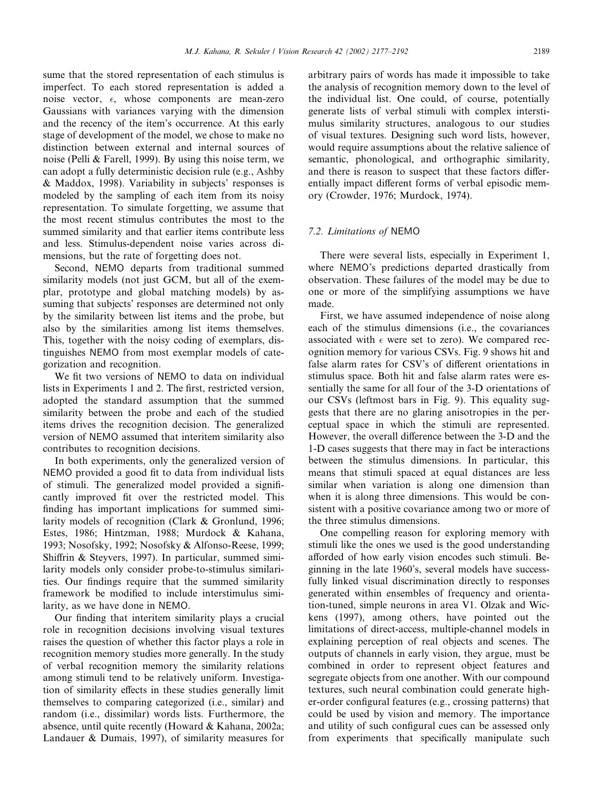sume that the stored representation of each stimulus is imperfect. To each stored representation is added a noise vector,  $\epsilon$ , whose components are mean-zero Gaussians with variances varying with the dimension and the recency of the item's occurrence. At this early stage of development of the model, we chose to make no distinction between external and internal sources of noise (Pelli & Farell, 1999). By using this noise term, we can adopt a fully deterministic decision rule (e.g., Ashby & Maddox, 1998). Variability in subjects' responses is modeled by the sampling of each item from its noisy representation. To simulate forgetting, we assume that the most recent stimulus contributes the most to the summed similarity and that earlier items contribute less and less. Stimulus-dependent noise varies across dimensions, but the rate of forgetting does not.

Second, NEMO departs from traditional summed similarity models (not just GCM, but all of the exemplar, prototype and global matching models) by assuming that subjects' responses are determined not only by the similarity between list items and the probe, but also by the similarities among list items themselves. This, together with the noisy coding of exemplars, distinguishes NEMO from most exemplar models of categorization and recognition.

We fit two versions of NEMO to data on individual lists in Experiments 1and 2. The first, restricted version, adopted the standard assumption that the summed similarity between the probe and each of the studied items drives the recognition decision. The generalized version of NEMO assumed that interitem similarity also contributes to recognition decisions.

In both experiments, only the generalized version of NEMO provided a good fit to data from individual lists of stimuli. The generalized model provided a significantly improved fit over the restricted model. This finding has important implications for summed similarity models of recognition (Clark & Gronlund, 1996; Estes, 1986; Hintzman, 1988; Murdock & Kahana, 1993; Nosofsky, 1992; Nosofsky & Alfonso-Reese, 1999; Shiffrin & Steyvers, 1997). In particular, summed similarity models only consider probe-to-stimulus similarities. Our findings require that the summed similarity framework be modified to include interstimulus similarity, as we have done in NEMO.

Our finding that interitem similarity plays a crucial role in recognition decisions involving visual textures raises the question of whether this factor plays a role in recognition memory studies more generally. In the study of verbal recognition memory the similarity relations among stimuli tend to be relatively uniform. Investigation of similarity effects in these studies generally limit themselves to comparing categorized (i.e., similar) and random (i.e., dissimilar) words lists. Furthermore, the absence, until quite recently (Howard & Kahana, 2002a; Landauer & Dumais, 1997), of similarity measures for

arbitrary pairs of words has made it impossible to take the analysis of recognition memory down to the level of the individual list. One could, of course, potentially generate lists of verbal stimuli with complex interstimulus similarity structures, analogous to our studies of visual textures. Designing such word lists, however, would require assumptions about the relative salience of semantic, phonological, and orthographic similarity, and there is reason to suspect that these factors differentially impact different forms of verbal episodic memory (Crowder, 1976; Murdock, 1974).

# 7.2. Limitations of NEMO

There were several lists, especially in Experiment 1, where NEMO's predictions departed drastically from observation. These failures of the model may be due to one or more of the simplifying assumptions we have made.

First, we have assumed independence of noise along each of the stimulus dimensions (i.e., the covariances associated with  $\epsilon$  were set to zero). We compared recognition memory for various CSVs. Fig. 9 shows hit and false alarm rates for CSV's of different orientations in stimulus space. Both hit and false alarm rates were essentially the same for all four of the 3-D orientations of our CSVs (leftmost bars in Fig. 9). This equality suggests that there are no glaring anisotropies in the perceptual space in which the stimuli are represented. However, the overall difference between the 3-D and the 1-D cases suggests that there may in fact be interactions between the stimulus dimensions. In particular, this means that stimuli spaced at equal distances are less similar when variation is along one dimension than when it is along three dimensions. This would be consistent with a positive covariance among two or more of the three stimulus dimensions.

One compelling reason for exploring memory with stimuli like the ones we used is the good understanding afforded of how early vision encodes such stimuli. Beginning in the late 1960's, several models have successfully linked visual discrimination directly to responses generated within ensembles of frequency and orientation-tuned, simple neurons in area V1. Olzak and Wickens (1997), among others, have pointed out the limitations of direct-access, multiple-channel models in explaining perception of real objects and scenes. The outputs of channels in early vision, they argue, must be combined in order to represent object features and segregate objects from one another. With our compound textures, such neural combination could generate higher-order configural features (e.g., crossing patterns) that could be used by vision and memory. The importance and utility of such configural cues can be assessed only from experiments that specifically manipulate such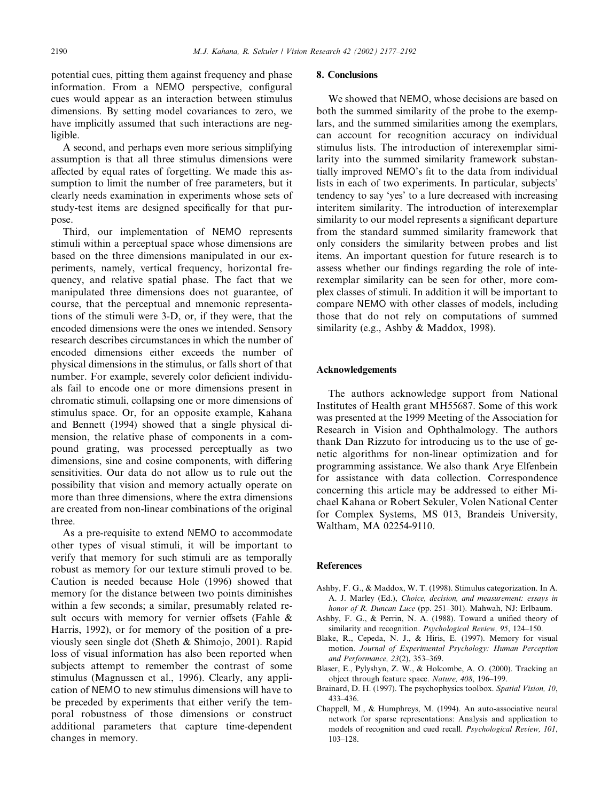potential cues, pitting them against frequency and phase information. From a NEMO perspective, configural cues would appear as an interaction between stimulus dimensions. By setting model covariances to zero, we have implicitly assumed that such interactions are negligible.

A second, and perhaps even more serious simplifying assumption is that all three stimulus dimensions were affected by equal rates of forgetting. We made this assumption to limit the number of free parameters, but it clearly needs examination in experiments whose sets of study-test items are designed specifically for that purpose.

Third, our implementation of NEMO represents stimuli within a perceptual space whose dimensions are based on the three dimensions manipulated in our experiments, namely, vertical frequency, horizontal frequency, and relative spatial phase. The fact that we manipulated three dimensions does not guarantee, of course, that the perceptual and mnemonic representations of the stimuli were 3-D, or, if they were, that the encoded dimensions were the ones we intended. Sensory research describes circumstances in which the number of encoded dimensions either exceeds the number of physical dimensions in the stimulus, or falls short of that number. For example, severely color deficient individuals fail to encode one or more dimensions present in chromatic stimuli, collapsing one or more dimensions of stimulus space. Or, for an opposite example, Kahana and Bennett (1994) showed that a single physical dimension, the relative phase of components in a compound grating, was processed perceptually as two dimensions, sine and cosine components, with differing sensitivities. Our data do not allow us to rule out the possibility that vision and memory actually operate on more than three dimensions, where the extra dimensions are created from non-linear combinations of the original three.

As a pre-requisite to extend NEMO to accommodate other types of visual stimuli, it will be important to verify that memory for such stimuli are as temporally robust as memory for our texture stimuli proved to be. Caution is needed because Hole (1996) showed that memory for the distance between two points diminishes within a few seconds; a similar, presumably related result occurs with memory for vernier offsets (Fahle & Harris, 1992), or for memory of the position of a previously seen single dot (Sheth & Shimojo, 2001). Rapid loss of visual information has also been reported when subjects attempt to remember the contrast of some stimulus (Magnussen et al., 1996). Clearly, any application of NEMO to new stimulus dimensions will have to be preceded by experiments that either verify the temporal robustness of those dimensions or construct additional parameters that capture time-dependent changes in memory.

#### 8. Conclusions

We showed that NEMO, whose decisions are based on both the summed similarity of the probe to the exemplars, and the summed similarities among the exemplars, can account for recognition accuracy on individual stimulus lists. The introduction of interexemplar similarity into the summed similarity framework substantially improved NEMO's fit to the data from individual lists in each of two experiments. In particular, subjects' tendency to say 'yes' to a lure decreased with increasing interitem similarity. The introduction of interexemplar similarity to our model represents a significant departure from the standard summed similarity framework that only considers the similarity between probes and list items. An important question for future research is to assess whether our findings regarding the role of interexemplar similarity can be seen for other, more complex classes of stimuli. In addition it will be important to compare NEMO with other classes of models, including those that do not rely on computations of summed similarity (e.g., Ashby & Maddox, 1998).

# Acknowledgements

The authors acknowledge support from National Institutes of Health grant MH55687. Some of this work was presented at the 1999 Meeting of the Association for Research in Vision and Ophthalmology. The authors thank Dan Rizzuto for introducing us to the use of genetic algorithms for non-linear optimization and for programming assistance. We also thank Arye Elfenbein for assistance with data collection. Correspondence concerning this article may be addressed to either Michael Kahana or Robert Sekuler, Volen National Center for Complex Systems, MS 013, Brandeis University, Waltham, MA 02254-9110.

#### References

- Ashby, F. G., & Maddox, W. T. (1998). Stimulus categorization. In A. A. J. Marley (Ed.), Choice, decision, and measurement: essays in honor of R. Duncan Luce (pp. 251-301). Mahwah, NJ: Erlbaum.
- Ashby, F. G., & Perrin, N. A. (1988). Toward a unified theory of similarity and recognition. Psychological Review, 95, 124–150.
- Blake, R., Cepeda, N. J., & Hiris, E. (1997). Memory for visual motion. Journal of Experimental Psychology: Human Perception and Performance, 23(2), 353–369.
- Blaser, E., Pylyshyn, Z. W., & Holcombe, A. O. (2000). Tracking an object through feature space. Nature, 408, 196–199.
- Brainard, D. H. (1997). The psychophysics toolbox. Spatial Vision, 10, 433–436.
- Chappell, M., & Humphreys, M. (1994). An auto-associative neural network for sparse representations: Analysis and application to models of recognition and cued recall. Psychological Review, 101, 103–128.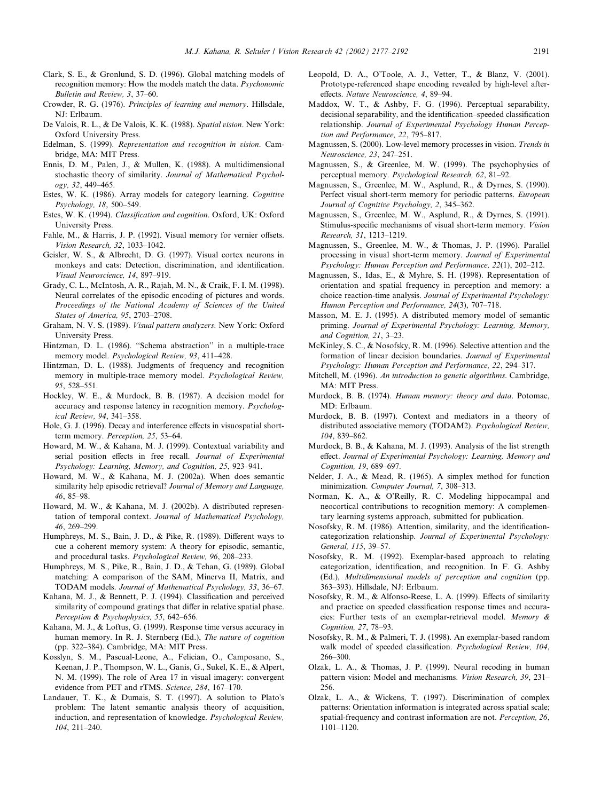- Clark, S. E., & Gronlund, S. D. (1996). Global matching models of recognition memory: How the models match the data. Psychonomic Bulletin and Review, 3, 37–60.
- Crowder, R. G. (1976). Principles of learning and memory. Hillsdale, NJ: Erlbaum.
- De Valois, R. L., & De Valois, K. K. (1988). Spatial vision. New York: Oxford University Press.
- Edelman, S. (1999). Representation and recognition in vision. Cambridge, MA: MIT Press.
- Ennis, D. M., Palen, J., & Mullen, K. (1988). A multidimensional stochastic theory of similarity. Journal of Mathematical Psychology, 32, 449–465.
- Estes, W. K. (1986). Array models for category learning. Cognitive Psychology, 18, 500–549.
- Estes, W. K. (1994). Classification and cognition. Oxford, UK: Oxford University Press.
- Fahle, M., & Harris, J. P. (1992). Visual memory for vernier offsets. Vision Research, 32, 1033–1042.
- Geisler, W. S., & Albrecht, D. G. (1997). Visual cortex neurons in monkeys and cats: Detection, discrimination, and identification. Visual Neuroscience, 14, 897–919.
- Grady, C. L., McIntosh, A. R., Rajah, M. N., & Craik, F. I. M. (1998). Neural correlates of the episodic encoding of pictures and words. Proceedings of the National Academy of Sciences of the United States of America, 95, 2703–2708.
- Graham, N. V. S. (1989). Visual pattern analyzers. New York: Oxford University Press.
- Hintzman, D. L. (1986). ''Schema abstraction'' in a multiple-trace memory model. Psychological Review, 93, 411–428.
- Hintzman, D. L. (1988). Judgments of frequency and recognition memory in multiple-trace memory model. Psychological Review, 95, 528–551.
- Hockley, W. E., & Murdock, B. B. (1987). A decision model for accuracy and response latency in recognition memory. Psychological Review, 94, 341–358.
- Hole, G. J. (1996). Decay and interference effects in visuospatial shortterm memory. Perception, 25, 53–64.
- Howard, M. W., & Kahana, M. J. (1999). Contextual variability and serial position effects in free recall. Journal of Experimental Psychology: Learning, Memory, and Cognition, 25, 923–941.
- Howard, M. W., & Kahana, M. J. (2002a). When does semantic similarity help episodic retrieval? Journal of Memory and Language, 46, 85–98.
- Howard, M. W., & Kahana, M. J. (2002b). A distributed representation of temporal context. Journal of Mathematical Psychology, 46, 269–299.
- Humphreys, M. S., Bain, J. D., & Pike, R. (1989). Different ways to cue a coherent memory system: A theory for episodic, semantic, and procedural tasks. Psychological Review, 96, 208–233.
- Humphreys, M. S., Pike, R., Bain, J. D., & Tehan, G. (1989). Global matching: A comparison of the SAM, Minerva II, Matrix, and TODAM models. Journal of Mathematical Psychology, 33, 36–67.
- Kahana, M. J., & Bennett, P. J. (1994). Classification and perceived similarity of compound gratings that differ in relative spatial phase. Perception & Psychophysics, 55, 642–656.
- Kahana, M. J., & Loftus, G. (1999). Response time versus accuracy in human memory. In R. J. Sternberg (Ed.), The nature of cognition (pp. 322–384). Cambridge, MA: MIT Press.
- Kosslyn, S. M., Pascual-Leone, A., Felician, O., Camposano, S., Keenan, J. P., Thompson, W. L., Ganis, G., Sukel, K. E., & Alpert, N. M. (1999). The role of Area 17 in visual imagery: convergent evidence from PET and rTMS. Science, 284, 167–170.
- Landauer, T. K., & Dumais, S. T. (1997). A solution to Plato's problem: The latent semantic analysis theory of acquisition, induction, and representation of knowledge. Psychological Review, 104, 211–240.
- Leopold, D. A., O'Toole, A. J., Vetter, T., & Blanz, V. (2001). Prototype-referenced shape encoding revealed by high-level aftereffects. Nature Neuroscience, 4, 89–94.
- Maddox, W. T., & Ashby, F. G. (1996). Perceptual separability, decisional separability, and the identification–speeded classification relationship. Journal of Experimental Psychology Human Perception and Performance, 22, 795–817.
- Magnussen, S. (2000). Low-level memory processes in vision. Trends in Neuroscience, 23, 247–251.
- Magnussen, S., & Greenlee, M. W. (1999). The psychophysics of perceptual memory. Psychological Research, 62, 81–92.
- Magnussen, S., Greenlee, M. W., Asplund, R., & Dyrnes, S. (1990). Perfect visual short-term memory for periodic patterns. European Journal of Cognitive Psychology, 2, 345–362.
- Magnussen, S., Greenlee, M. W., Asplund, R., & Dyrnes, S. (1991). Stimulus-specific mechanisms of visual short-term memory. Vision Research, 31, 1213–1219.
- Magnussen, S., Greenlee, M. W., & Thomas, J. P. (1996). Parallel processing in visual short-term memory. Journal of Experimental Psychology: Human Perception and Performance, 22(1), 202–212.
- Magnussen, S., Idas, E., & Myhre, S. H. (1998). Representation of orientation and spatial frequency in perception and memory: a choice reaction-time analysis. Journal of Experimental Psychology: Human Perception and Performance, 24(3), 707–718.
- Masson, M. E. J. (1995). A distributed memory model of semantic priming. Journal of Experimental Psychology: Learning, Memory, and Cognition, 21, 3–23.
- McKinley, S. C., & Nosofsky, R. M. (1996). Selective attention and the formation of linear decision boundaries. Journal of Experimental Psychology: Human Perception and Performance, 22, 294–317.
- Mitchell, M. (1996). An introduction to genetic algorithms. Cambridge, MA: MIT Press.
- Murdock, B. B. (1974). Human memory: theory and data. Potomac, MD: Erlbaum.
- Murdock, B. B. (1997). Context and mediators in a theory of distributed associative memory (TODAM2). Psychological Review, 104, 839–862.
- Murdock, B. B., & Kahana, M. J. (1993). Analysis of the list strength effect. Journal of Experimental Psychology: Learning, Memory and Cognition, 19, 689–697.
- Nelder, J. A., & Mead, R. (1965). A simplex method for function minimization. Computer Journal, 7, 308–313.
- Norman, K. A., & O'Reilly, R. C. Modeling hippocampal and neocortical contributions to recognition memory: A complementary learning systems approach, submitted for publication.
- Nosofsky, R. M. (1986). Attention, similarity, and the identificationcategorization relationship. Journal of Experimental Psychology: General, 115, 39–57.
- Nosofsky, R. M. (1992). Exemplar-based approach to relating categorization, identification, and recognition. In F. G. Ashby (Ed.), Multidimensional models of perception and cognition (pp. 363–393). Hillsdale, NJ: Erlbaum.
- Nosofsky, R. M., & Alfonso-Reese, L. A. (1999). Effects of similarity and practice on speeded classification response times and accuracies: Further tests of an exemplar-retrieval model. Memory & Cognition, 27, 78–93.
- Nosofsky, R. M., & Palmeri, T. J. (1998). An exemplar-based random walk model of speeded classification. Psychological Review, 104, 266–300.
- Olzak, L. A., & Thomas, J. P. (1999). Neural recoding in human pattern vision: Model and mechanisms. Vision Research, 39, 231– 256
- Olzak, L. A., & Wickens, T. (1997). Discrimination of complex patterns: Orientation information is integrated across spatial scale; spatial-frequency and contrast information are not. Perception, 26, 1101–1120.